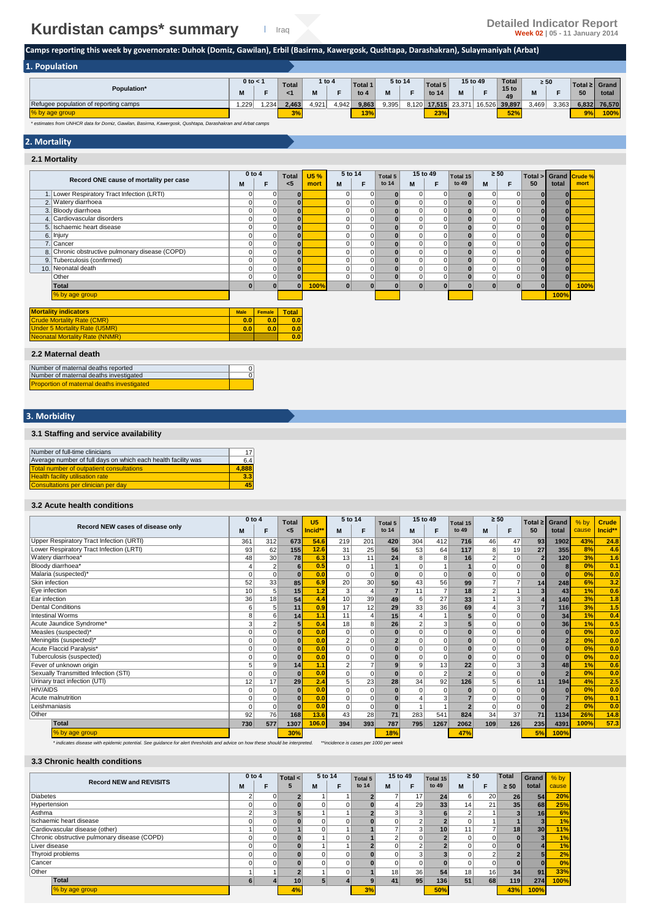# **Kurdistan camps\* summary Detailed Indicator Report Detailed Indicator Report Summary Detailed Indicator Report**

**Camps reporting this week by governorate: Duhok (Domiz, Gawilan), Erbil (Basirma, Kawergosk, Qushtapa, Darashakran), Sulaymaniyah (Arbat)** 

| 1. Population                         |      |              |               |       |          |         |         |       |         |        |          |                        |           |       |       |               |
|---------------------------------------|------|--------------|---------------|-------|----------|---------|---------|-------|---------|--------|----------|------------------------|-----------|-------|-------|---------------|
|                                       |      | $0$ to $<$ 1 | <b>Total</b>  |       | 1 to $4$ | Total 1 | 5 to 14 |       | Total 5 |        | 15 to 49 | Total                  | $\geq 50$ |       |       | Total ≥ Grand |
| Population*                           | в.   |              |               | M     |          | to $4$  | M       |       | to 14   | M      |          | 15 <sub>to</sub><br>49 | IVI       |       | 50    | total         |
| Refugee population of reporting camps | .229 | .234         | 2.463         | 4,921 | 4,942    | 9,863   | 9,395   | 8,120 | 17.515  | 23.371 | 16,526   | 39.897                 | 3,469     | 3,363 | 6,832 | 76.570        |
| % by age group                        |      |              | ex o<br>$3\%$ |       |          | 13%     |         |       | 23%     |        |          | 52%                    |           |       | 9%    | 100%          |

*\* estimates from UNHCR data for Domiz, Gawilan, Basirma, Kawergosk, Qushtapa, Darashakran and Arbat camps*

### **2. Mortality**

#### **2.1 Mortality**

| to 14<br>to 49<br>50<br>total<br>$5$<br>M<br>F<br>M<br>mort<br>F<br>M<br>F<br>M<br>mort<br>1. Lower Respiratory Tract Infection (LRTI)<br>$\Omega$<br>$\mathbf 0$<br>$\mathbf 0$<br>$\overline{0}$<br>$\mathbf 0$<br>$\bf{0}$<br>0<br>$\bf{0}$<br>2. Watery diarrhoea<br>$\vert 0 \vert$<br>0<br>$\Omega$<br>$\Omega$<br> 0 <br>0<br>$\bf{0}$<br>3. Bloody diarrhoea<br>$\mathbf 0$<br>0<br>0<br>$\overline{0}$<br>$\bf{0}$<br>0<br>0<br>4. Cardiovascular disorders<br>0<br>$\mathbf 0$<br>0<br>$\overline{0}$<br>0<br>$\bf{0}$<br>0<br>5. Ischaemic heart disease<br>$\overline{0}$<br>0<br>$\Omega$<br>$\Omega$<br> 0 <br>$\Omega$<br>$\bf{0}$<br>$\Omega$<br>$\mathbf 0$<br>$\overline{0}$<br>6. Injury<br>$\Omega$<br>$\overline{0}$<br>0<br>0<br>7. Cancer<br>$\overline{0}$<br>0<br>$\Omega$<br>$\overline{0}$<br>0<br>0<br>$\Omega$<br>8. Chronic obstructive pulmonary disease (COPD)<br> 0 <br>0<br>$\overline{0}$<br> 0 <br>$\Omega$<br>$\Omega$<br>9. Tuberculosis (confirmed)<br>$\mathbf 0$<br>0<br>$\Omega$<br>$\overline{0}$<br>0<br>0<br>10. Neonatal death<br>0<br>0<br>$\Omega$<br>$\overline{0}$<br>0<br>$\mathbf 0$<br>Other<br> 0 <br>$\Omega$<br> 0 <br>$\Omega$<br>$\Omega$<br>$\Omega$<br>$\bf{0}$<br>100%<br>100%<br>$\mathbf{0}$<br>$\bf{0}$<br>Total<br>$\bf{0}$<br>$\Omega$<br>% by age group<br>100%<br><b>Mortality indicators</b><br><b>Total</b><br><b>Male</b><br><b>Female</b><br><b>Crude Mortality Rate (CMR)</b><br>0.0<br>0.0<br>0.0<br><b>Under 5 Mortality Rate (U5MR)</b><br>0.0<br>0.0<br>0.0<br><b>Neonatal Mortality Rate (NNMR)</b><br>0.0 |                                        | 0 to 4 | <b>Total</b> | <b>U5%</b> | 5 to 14 | Total 5 | 15 to 49 | Total 15 | $\geq 50$ | Total > 1 | Grand Crude % |  |
|------------------------------------------------------------------------------------------------------------------------------------------------------------------------------------------------------------------------------------------------------------------------------------------------------------------------------------------------------------------------------------------------------------------------------------------------------------------------------------------------------------------------------------------------------------------------------------------------------------------------------------------------------------------------------------------------------------------------------------------------------------------------------------------------------------------------------------------------------------------------------------------------------------------------------------------------------------------------------------------------------------------------------------------------------------------------------------------------------------------------------------------------------------------------------------------------------------------------------------------------------------------------------------------------------------------------------------------------------------------------------------------------------------------------------------------------------------------------------------------------------------------------------------------------------------------------------------------|----------------------------------------|--------|--------------|------------|---------|---------|----------|----------|-----------|-----------|---------------|--|
|                                                                                                                                                                                                                                                                                                                                                                                                                                                                                                                                                                                                                                                                                                                                                                                                                                                                                                                                                                                                                                                                                                                                                                                                                                                                                                                                                                                                                                                                                                                                                                                          | Record ONE cause of mortality per case |        |              |            |         |         |          |          |           |           |               |  |
|                                                                                                                                                                                                                                                                                                                                                                                                                                                                                                                                                                                                                                                                                                                                                                                                                                                                                                                                                                                                                                                                                                                                                                                                                                                                                                                                                                                                                                                                                                                                                                                          |                                        |        |              |            |         |         |          |          |           |           |               |  |
|                                                                                                                                                                                                                                                                                                                                                                                                                                                                                                                                                                                                                                                                                                                                                                                                                                                                                                                                                                                                                                                                                                                                                                                                                                                                                                                                                                                                                                                                                                                                                                                          |                                        |        |              |            |         |         |          |          |           |           |               |  |
|                                                                                                                                                                                                                                                                                                                                                                                                                                                                                                                                                                                                                                                                                                                                                                                                                                                                                                                                                                                                                                                                                                                                                                                                                                                                                                                                                                                                                                                                                                                                                                                          |                                        |        |              |            |         |         |          |          |           |           |               |  |
|                                                                                                                                                                                                                                                                                                                                                                                                                                                                                                                                                                                                                                                                                                                                                                                                                                                                                                                                                                                                                                                                                                                                                                                                                                                                                                                                                                                                                                                                                                                                                                                          |                                        |        |              |            |         |         |          |          |           |           |               |  |
|                                                                                                                                                                                                                                                                                                                                                                                                                                                                                                                                                                                                                                                                                                                                                                                                                                                                                                                                                                                                                                                                                                                                                                                                                                                                                                                                                                                                                                                                                                                                                                                          |                                        |        |              |            |         |         |          |          |           |           |               |  |
|                                                                                                                                                                                                                                                                                                                                                                                                                                                                                                                                                                                                                                                                                                                                                                                                                                                                                                                                                                                                                                                                                                                                                                                                                                                                                                                                                                                                                                                                                                                                                                                          |                                        |        |              |            |         |         |          |          |           |           |               |  |
|                                                                                                                                                                                                                                                                                                                                                                                                                                                                                                                                                                                                                                                                                                                                                                                                                                                                                                                                                                                                                                                                                                                                                                                                                                                                                                                                                                                                                                                                                                                                                                                          |                                        |        |              |            |         |         |          |          |           |           |               |  |
|                                                                                                                                                                                                                                                                                                                                                                                                                                                                                                                                                                                                                                                                                                                                                                                                                                                                                                                                                                                                                                                                                                                                                                                                                                                                                                                                                                                                                                                                                                                                                                                          |                                        |        |              |            |         |         |          |          |           |           |               |  |
|                                                                                                                                                                                                                                                                                                                                                                                                                                                                                                                                                                                                                                                                                                                                                                                                                                                                                                                                                                                                                                                                                                                                                                                                                                                                                                                                                                                                                                                                                                                                                                                          |                                        |        |              |            |         |         |          |          |           |           |               |  |
|                                                                                                                                                                                                                                                                                                                                                                                                                                                                                                                                                                                                                                                                                                                                                                                                                                                                                                                                                                                                                                                                                                                                                                                                                                                                                                                                                                                                                                                                                                                                                                                          |                                        |        |              |            |         |         |          |          |           |           |               |  |
|                                                                                                                                                                                                                                                                                                                                                                                                                                                                                                                                                                                                                                                                                                                                                                                                                                                                                                                                                                                                                                                                                                                                                                                                                                                                                                                                                                                                                                                                                                                                                                                          |                                        |        |              |            |         |         |          |          |           |           |               |  |
|                                                                                                                                                                                                                                                                                                                                                                                                                                                                                                                                                                                                                                                                                                                                                                                                                                                                                                                                                                                                                                                                                                                                                                                                                                                                                                                                                                                                                                                                                                                                                                                          |                                        |        |              |            |         |         |          |          |           |           |               |  |
|                                                                                                                                                                                                                                                                                                                                                                                                                                                                                                                                                                                                                                                                                                                                                                                                                                                                                                                                                                                                                                                                                                                                                                                                                                                                                                                                                                                                                                                                                                                                                                                          |                                        |        |              |            |         |         |          |          |           |           |               |  |
|                                                                                                                                                                                                                                                                                                                                                                                                                                                                                                                                                                                                                                                                                                                                                                                                                                                                                                                                                                                                                                                                                                                                                                                                                                                                                                                                                                                                                                                                                                                                                                                          |                                        |        |              |            |         |         |          |          |           |           |               |  |
|                                                                                                                                                                                                                                                                                                                                                                                                                                                                                                                                                                                                                                                                                                                                                                                                                                                                                                                                                                                                                                                                                                                                                                                                                                                                                                                                                                                                                                                                                                                                                                                          |                                        |        |              |            |         |         |          |          |           |           |               |  |
|                                                                                                                                                                                                                                                                                                                                                                                                                                                                                                                                                                                                                                                                                                                                                                                                                                                                                                                                                                                                                                                                                                                                                                                                                                                                                                                                                                                                                                                                                                                                                                                          |                                        |        |              |            |         |         |          |          |           |           |               |  |
|                                                                                                                                                                                                                                                                                                                                                                                                                                                                                                                                                                                                                                                                                                                                                                                                                                                                                                                                                                                                                                                                                                                                                                                                                                                                                                                                                                                                                                                                                                                                                                                          |                                        |        |              |            |         |         |          |          |           |           |               |  |
|                                                                                                                                                                                                                                                                                                                                                                                                                                                                                                                                                                                                                                                                                                                                                                                                                                                                                                                                                                                                                                                                                                                                                                                                                                                                                                                                                                                                                                                                                                                                                                                          |                                        |        |              |            |         |         |          |          |           |           |               |  |

#### **2.2 Maternal death**

| Number of maternal deaths reported                |  |
|---------------------------------------------------|--|
| Number of maternal deaths investigated            |  |
| <b>Proportion of maternal deaths investigated</b> |  |

#### **3. Morbidity**

#### **3.1 Staffing and service availability**

| Number of full-time clinicians                                | 17    |
|---------------------------------------------------------------|-------|
| Average number of full days on which each health facility was | 6.4   |
| <b>Total number of outpatient consultations</b>               | 4.888 |
| <b>Health facility utilisation rate</b>                       | 3.3   |
| Consultations per clinician per day                           | 45    |

#### **3.2 Acute health conditions**

|                                          | $0$ to $4$ |                | <b>Total</b> | U <sub>5</sub> | 5 to 14         |             | Total 5        | 15 to 49       |                | Total 15                 | $\geq 50$      |          | Total $\geq$ | Grand          | $%$ by | <b>Crude</b> |
|------------------------------------------|------------|----------------|--------------|----------------|-----------------|-------------|----------------|----------------|----------------|--------------------------|----------------|----------|--------------|----------------|--------|--------------|
| Record NEW cases of disease only         | M          | F              | <5           | Incid**        | М               | F           | to 14          | M              | F              | to 49                    | M              | F        | 50           | total          | cause  | Incid**      |
| Upper Respiratory Tract Infection (URTI) | 361        | 312            | 673          | 54.6           | 219             | 201         | 420            | 304            | 412            | 716                      | 46             | 47       | 93           | 1902           | 43%    | 24.8         |
| Lower Respiratory Tract Infection (LRTI) | 93         | 62             | 155          | 12.6           | 31              | 25          | 56             | 53             | 64             | 117                      | 8              | 19       | 27           | 355            | 8%     | 4.6          |
| Watery diarrhoea*                        | 48         | 30             | 78           | 6.3            | 13              | 11          | 24             | 8              | 8              | 16                       | 2              | $\Omega$ | $\mathbf{2}$ | 120            | 3%     | 1.6          |
| Bloody diarrhoea*                        |            | $\overline{2}$ | 6            | 0.5            | $\Omega$        |             |                | $\Omega$       |                |                          | O              |          |              | 8              | 0%     | 0.1          |
| Malaria (suspected)*                     |            | 0              | $\Omega$     | 0.0            | $\Omega$        | $\Omega$    | $\Omega$       | 0              | $\Omega$       | $\Omega$                 | $\Omega$       | $\Omega$ |              | $\Omega$       | 0%     | 0.0          |
| Skin infection                           | 52         | 33             | 85           | 6.9            | 20              | 30          | 50             | 43             | 56             | 99                       | 7              |          | 14           | 248            | 6%     | 3.2          |
| Eye infection                            | 10         | 5              | 15           | 1.2            | 3               |             |                | 11             | $\overline{7}$ | 18                       | 2              |          |              | 43             | 1%     | 0.6          |
| Ear infection                            | 36         | 18             | 54           | 4.4            | 10 <sup>1</sup> | 39          | 49             | 6              | 27             | 33                       |                |          |              | 140            | 3%     | 1.8          |
| Dental Conditions                        | ค          | 5              | 11           | 0.9            | 17              | 12          | 29             | 33             | 36             | 69                       |                | 3        |              | 116            | 3%     | 1.5          |
| <b>Intestinal Worms</b>                  | 8          | 6              | 14           | 1.1            | 11              |             | 15             | 4              |                |                          | $\Omega$       |          |              | 34             | 1%     | 0.4          |
| Acute Jaundice Syndrome*                 | 3          | 2              | 5            | 0.4            | 18              | 8           | 26             | $\overline{2}$ | 3              |                          | $\Omega$       | 0        | ŋ            | 36             | 1%     | 0.5          |
| Measles (suspected)*                     |            | 0              |              | 0.0            | $\Omega$        |             |                | 0              | $\mathbf 0$    |                          | O              | $\Omega$ |              | $\Omega$       | 0%     | 0.0          |
| Meningitis (suspected)*                  | U          | 0              | $\bf{0}$     | 0.0            | $\overline{2}$  | $\Omega$    | 2 <sup>1</sup> | 0              | $\overline{0}$ | $\Omega$                 | $\Omega$       | $\Omega$ |              | $\overline{2}$ | 0%     | 0.0          |
| Acute Flaccid Paralysis*                 |            | 0              | $\Omega$     | 0.0            | $\Omega$        | $\Omega$    | $\mathbf{0}$   | 0              | $\overline{0}$ | $\Omega$                 | $\Omega$       | $\Omega$ |              | $\Omega$       | 0%     | 0.0          |
| Tuberculosis (suspected)                 |            | 0              | $\Omega$     | 0.0            | $\Omega$        |             |                | 0              | $\Omega$       | $\bf{0}$                 | $\Omega$       | $\Omega$ |              | $\Omega$       | 0%     | 0.0          |
| Fever of unknown origin                  |            | 9              | 14           | 1.1            | $\overline{2}$  |             |                | 9              | 13             | 22                       | $\overline{0}$ |          |              | 48             | 1%     | 0.6          |
| Sexually Transmitted Infection (STI)     |            | $\Omega$       | $\Omega$     | 0.0            | $\Omega$        | $\Omega$    | $\bf{0}$       | 0              | $\overline{2}$ | $\overline{\phantom{a}}$ | $\Omega$       | $\Omega$ |              | $\overline{2}$ | 0%     | 0.0          |
| Urinary tract infection (UTI)            | 12         | 17             | 29           | 2.4            | 5 <sub>1</sub>  | 23          | 28             | 34             | 92             | 126                      | 5              | 6        | 11           | 194            | 4%     | 2.5          |
| <b>HIV/AIDS</b>                          |            | 0              | $\bf{0}$     | 0.0            | $\Omega$        | $\mathbf 0$ | $\mathbf{0}$   | 0              | $\mathbf 0$    | $\bf{0}$                 | $\Omega$       | $\Omega$ |              | $\Omega$       | 0%     | 0.0          |
| Acute malnutrition                       |            | 0              | $\Omega$     | 0.0            | $\Omega$        |             |                |                | 3              |                          | $\Omega$       | $\Omega$ |              |                | 0%     | 0.1          |
| Leishmaniasis                            | $\Omega$   | 0              | $\Omega$     | 0.0            | $\Omega$        | $\Omega$    | $\mathbf{0}$   |                | $\overline{1}$ |                          | $\Omega$       | $\Omega$ |              |                | 0%     | 0.0          |
| Other                                    | 92         | 76             | 168          | 13.6           | 43              | 28          | 71             | 283            | 541            | 824                      | 34             | 37       | 71           | 1134           | 26%    | 14.8         |
| <b>Total</b>                             | 730        | 577            | 1307         | 106.0          | 394             | 393         | 787            | 795            | 1267           | 2062                     | 109            | 126      | 235          | 4391           | 100%   | 57.3         |
| % by age group                           |            |                | 30%          |                |                 |             | 18%            |                |                | 47%                      |                |          | 5%           | 100%           |        |              |

*\* indicates disease with epidemic potential. See guidance for alert thresholds and advice on how these should be interpreted. \*\*incidence is cases per 1000 per week*

#### **3.3 Chronic health conditions**

|                                              | $0$ to $4$ |   | 5 to 14<br>Total < |   | Total 5 | 15 to 49 |    | $\geq 50$<br>Total 15 |                 |    | <b>Total</b> | Grand        | $%$ by          |       |
|----------------------------------------------|------------|---|--------------------|---|---------|----------|----|-----------------------|-----------------|----|--------------|--------------|-----------------|-------|
| <b>Record NEW and REVISITS</b>               | м          |   | 5                  | M |         | to 14    | M  |                       | to 49           | M  | F            | $\geq 50$    | total           | cause |
| <b>Diabetes</b>                              | 2          | 0 |                    |   |         |          |    | 17 <sub>h</sub>       | 24              | 6  | 20           | 26           | 54              | 20%   |
| Hypertension                                 |            |   |                    |   |         |          |    | 29                    | 33 <sub>1</sub> | 14 | 21           | 35           | 68              | 25%   |
| Asthma                                       | $\sqrt{2}$ | 3 |                    |   |         |          |    | $\overline{3}$        |                 |    |              | 31           | 16              | 6%    |
| Ischaemic heart disease                      | 0          |   |                    |   |         |          |    | $\Omega$              |                 |    |              |              |                 | 1%    |
| Cardiovascular disease (other)               |            |   |                    |   |         |          |    | 3                     | 10              | 11 |              | 18           | 30 <sub>l</sub> | 11%   |
| Chronic obstructive pulmonary disease (COPD) | 0          |   |                    |   |         |          |    | $\Omega$              |                 |    | $\Omega$     |              |                 | 1%    |
| Liver disease                                | $\Omega$   |   |                    |   |         |          |    | $\sim$                |                 |    | $\Omega$     | 0            |                 | 1%    |
| Thyroid problems                             | 0          |   |                    |   |         |          |    | 3                     |                 |    | $\sim$       |              |                 | 2%    |
| Cancer                                       | 0          |   |                    |   |         |          |    | 0                     |                 |    | $\Omega$     | $\mathbf{0}$ |                 | 0%    |
| Other                                        |            |   |                    |   |         |          | 18 | 36                    | 54              | 18 | 16           | 34           | 91              | 33%   |
| Total                                        | 6          |   | 10                 | 5 |         |          | 41 | 95                    | 136             | 51 | 68           | 119          | 274             | 100%  |
| % by age group                               |            |   | 4%                 |   |         | 3%       |    |                       | 50%             |    |              | 43%          | 100%            |       |